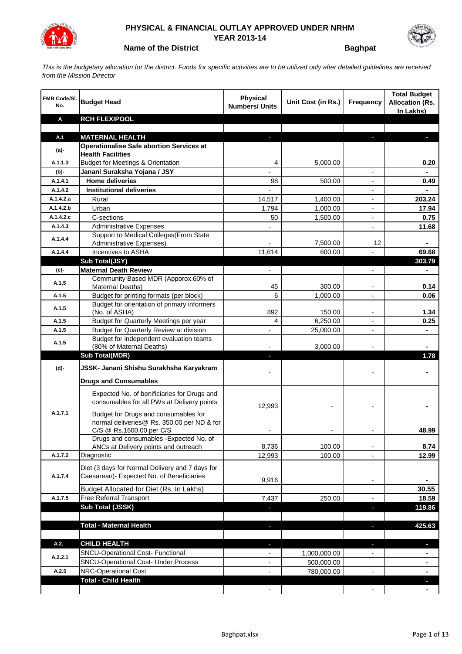

## **PHYSICAL & FINANCIAL OUTLAY APPROVED UNDER NRHM YEAR 2013-14**

**Name of the District <b>Baghpat** 

*This is the budgetary allocation for the district. Funds for specific activities are to be utilized only after detailed guidelines are received from the Mission Director*

| <b>FMR Code/SI.</b><br>No. | <b>Budget Head</b>                                                                                             | <b>Physical</b><br><b>Numbers/ Units</b> | Unit Cost (in Rs.) | Frequency                | <b>Total Budget</b><br><b>Allocation (Rs.</b><br>In Lakhs) |
|----------------------------|----------------------------------------------------------------------------------------------------------------|------------------------------------------|--------------------|--------------------------|------------------------------------------------------------|
| Α                          | <b>RCH FLEXIPOOL</b>                                                                                           |                                          |                    |                          |                                                            |
|                            |                                                                                                                |                                          |                    |                          |                                                            |
| A.1                        | <b>MATERNAL HEALTH</b>                                                                                         |                                          |                    |                          |                                                            |
| $(a)$ -                    | <b>Operationalise Safe abortion Services at</b><br><b>Health Facilities</b>                                    |                                          |                    |                          |                                                            |
| A.1.1.3                    | <b>Budget for Meetings &amp; Orientation</b>                                                                   | 4                                        | 5,000.00           |                          | 0.20                                                       |
| (b)-                       | Janani Suraksha Yojana / JSY                                                                                   |                                          |                    |                          |                                                            |
| A.1.4.1                    | <b>Home deliveries</b>                                                                                         | 98                                       | 500.00             |                          | 0.49                                                       |
| A.1.4.2                    | <b>Institutional deliveries</b>                                                                                |                                          |                    |                          |                                                            |
| A.1.4.2.a                  | Rural                                                                                                          | 14,517                                   | 1,400.00           |                          | 203.24                                                     |
| A.1.4.2.b                  | Urban                                                                                                          | 1,794                                    | 1,000.00           | $\blacksquare$           | 17.94                                                      |
| A.1.4.2.c                  | C-sections                                                                                                     | 50                                       | 1,500.00           | $\blacksquare$           | 0.75                                                       |
| A.1.4.3                    | <b>Administrative Expenses</b>                                                                                 |                                          |                    | $\overline{a}$           | 11.68                                                      |
| A.1.4.4                    | Support to Medical Colleges (From State                                                                        |                                          |                    |                          |                                                            |
|                            | Administrative Expenses)                                                                                       |                                          | 7,500.00           | 12                       |                                                            |
| A.1.4.4                    | Incentives to ASHA                                                                                             | 11,614                                   | 600.00             |                          | 69.68                                                      |
|                            | Sub Total(JSY)                                                                                                 |                                          |                    |                          | 303.79                                                     |
| (c)                        | <b>Maternal Death Review</b><br>Community Based MDR (Apporox.60% of                                            | $\overline{\phantom{a}}$                 |                    | ٠                        | ۰                                                          |
| A.1.5                      | Maternal Deaths)                                                                                               | 45                                       | 300.00             |                          | 0.14                                                       |
| A.1.5                      | Budget for printing formats (per block)                                                                        | 6                                        | 1,000.00           |                          | 0.06                                                       |
|                            | Budget for orientation of primary informers                                                                    |                                          |                    |                          |                                                            |
| A.1.5                      | (No. of ASHA)                                                                                                  | 892                                      | 150.00             |                          | 1.34                                                       |
| A.1.5                      | Budget for Quarterly Meetings per year                                                                         | 4                                        | 6,250.00           |                          | 0.25                                                       |
| A.1.5                      | Budget for Quarterly Review at division                                                                        |                                          | 25,000.00          |                          |                                                            |
| A.1.5                      | Budget for independent evaluation teams                                                                        |                                          |                    |                          |                                                            |
|                            | (80% of Maternal Deaths)                                                                                       |                                          | 3,000.00           |                          |                                                            |
|                            | <b>Sub Total(MDR)</b>                                                                                          | ٠                                        |                    |                          | 1.78                                                       |
| (d)-                       | JSSK- Janani Shishu Surakhsha Karyakram                                                                        |                                          |                    |                          |                                                            |
|                            | <b>Drugs and Consumables</b>                                                                                   |                                          |                    |                          |                                                            |
|                            | Expected No. of benificiaries for Drugs and<br>consumables for all PWs at Delivery points                      | 12,993                                   |                    |                          |                                                            |
| A.1.7.1                    | Budget for Drugs and consumables for<br>normal deliveries@ Rs. 350.00 per ND & for<br>C/S @ Rs.1600.00 per C/S |                                          |                    |                          | 48.99                                                      |
|                            | Drugs and consumables - Expected No. of                                                                        |                                          |                    |                          |                                                            |
|                            | ANCs at Delivery points and outreach                                                                           | 8,736                                    | 100.00             |                          | 8.74                                                       |
| A.1.7.2                    | Diagnostic                                                                                                     | 12,993                                   | 100.00             |                          | 12.99                                                      |
| A.1.7.4                    | Diet (3 days for Normal Delivery and 7 days for<br>Caesarean)- Expected No. of Beneficiaries                   | 9,916                                    |                    | $\overline{\phantom{a}}$ |                                                            |
|                            | Budget Allocated for Diet (Rs. In Lakhs)                                                                       |                                          |                    |                          | 30.55                                                      |
| A.1.7.5                    | Free Referral Transport                                                                                        | 7,437                                    | 250.00             | $\blacksquare$           | 18.59                                                      |
|                            | Sub Total (JSSK)                                                                                               | ۳                                        |                    | ×                        | 119.86                                                     |
|                            |                                                                                                                |                                          |                    |                          |                                                            |
|                            | <b>Total - Maternal Health</b>                                                                                 | J                                        |                    | J.                       | 425.63                                                     |
| A.2.                       | <b>CHILD HEALTH</b>                                                                                            |                                          |                    |                          | a.                                                         |
| A.2.2.1                    | SNCU-Operational Cost- Functional                                                                              |                                          | 1,000,000.00       |                          |                                                            |
|                            | <b>SNCU-Operational Cost- Under Process</b>                                                                    |                                          | 500,000.00         |                          |                                                            |
| A.2.5                      | <b>NRC-Operational Cost</b>                                                                                    |                                          | 780,000.00         |                          |                                                            |
|                            | <b>Total - Child Health</b>                                                                                    |                                          |                    |                          |                                                            |
|                            |                                                                                                                |                                          |                    |                          |                                                            |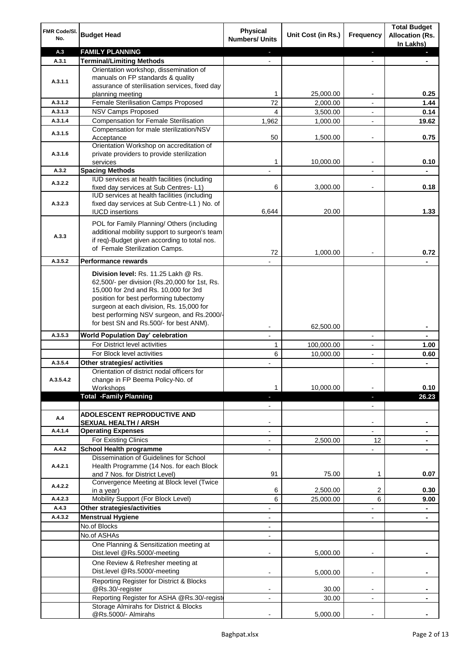| FMR Code/SI. | <b>Budget Head</b>                                                                    | Physical                 |                    |                          | <b>Total Budget</b>                 |
|--------------|---------------------------------------------------------------------------------------|--------------------------|--------------------|--------------------------|-------------------------------------|
| No.          |                                                                                       | <b>Numbers/ Units</b>    | Unit Cost (in Rs.) | Frequency                | <b>Allocation (Rs.</b><br>In Lakhs) |
| A.3          | <b>FAMILY PLANNING</b>                                                                |                          |                    | ٠                        |                                     |
| A.3.1        | <b>Terminal/Limiting Methods</b>                                                      |                          |                    |                          |                                     |
|              | Orientation workshop, dissemination of                                                |                          |                    |                          |                                     |
| A.3.1.1      | manuals on FP standards & quality                                                     |                          |                    |                          |                                     |
|              | assurance of sterilisation services, fixed day                                        | 1                        | 25,000.00          |                          | 0.25                                |
| A.3.1.2      | planning meeting<br>Female Sterilisation Camps Proposed                               | 72                       | 2,000.00           |                          | 1.44                                |
| A.3.1.3      | <b>NSV Camps Proposed</b>                                                             | 4                        | 3,500.00           |                          | 0.14                                |
| A.3.1.4      | <b>Compensation for Female Sterilisation</b>                                          | 1,962                    | 1,000.00           |                          | 19.62                               |
|              | Compensation for male sterilization/NSV                                               |                          |                    |                          |                                     |
| A.3.1.5      | Acceptance                                                                            | 50                       | 1,500.00           |                          | 0.75                                |
|              | Orientation Workshop on accreditation of                                              |                          |                    |                          |                                     |
| A.3.1.6      | private providers to provide sterilization                                            |                          |                    |                          |                                     |
|              | services                                                                              | 1                        | 10,000.00          |                          | 0.10                                |
| A.3.2        | <b>Spacing Methods</b><br>IUD services at health facilities (including                |                          |                    |                          |                                     |
| A.3.2.2      | fixed day services at Sub Centres-L1)                                                 | 6                        | 3,000.00           |                          | 0.18                                |
|              | IUD services at health facilities (including                                          |                          |                    |                          |                                     |
| A.3.2.3      | fixed day services at Sub Centre-L1 ) No. of                                          |                          |                    |                          |                                     |
|              | <b>IUCD</b> insertions                                                                | 6,644                    | 20.00              |                          | 1.33                                |
|              | POL for Family Planning/ Others (including                                            |                          |                    |                          |                                     |
|              | additional mobility support to surgeon's team                                         |                          |                    |                          |                                     |
| A.3.3        | if req)-Budget given according to total nos.                                          |                          |                    |                          |                                     |
|              | of Female Sterilization Camps.                                                        | 72                       | 1,000.00           |                          | 0.72                                |
| A.3.5.2      | <b>Performance rewards</b>                                                            |                          |                    |                          |                                     |
|              |                                                                                       |                          |                    |                          |                                     |
|              | Division level: Rs. 11.25 Lakh @ Rs.<br>62,500/- per division (Rs.20,000 for 1st, Rs. |                          |                    |                          |                                     |
|              | 15,000 for 2nd and Rs. 10,000 for 3rd                                                 |                          |                    |                          |                                     |
|              | position for best performing tubectomy                                                |                          |                    |                          |                                     |
|              | surgeon at each division, Rs. 15,000 for                                              |                          |                    |                          |                                     |
|              | best performing NSV surgeon, and Rs.2000/-                                            |                          |                    |                          |                                     |
|              | for best SN and Rs.500/- for best ANM).                                               |                          | 62,500.00          |                          |                                     |
| A.3.5.3      | <b>World Population Day' celebration</b>                                              |                          |                    |                          |                                     |
|              | For District level activities                                                         | 1                        | 100,000.00         |                          | 1.00                                |
|              | For Block level activities                                                            | 6                        | 10,000.00          |                          | 0.60                                |
| A.3.5.4      | Other strategies/ activities                                                          |                          |                    | $\overline{a}$           |                                     |
|              | Orientation of district nodal officers for                                            |                          |                    |                          |                                     |
| A.3.5.4.2    | change in FP Beema Policy-No. of                                                      |                          |                    |                          |                                     |
|              | Workshops                                                                             | 1.                       | 10,000.00          |                          | 0.10                                |
|              | <b>Total -Family Planning</b>                                                         |                          |                    | ٠                        | 26.23                               |
|              | ADOLESCENT REPRODUCTIVE AND                                                           |                          |                    |                          |                                     |
| A.4          | <b>SEXUAL HEALTH / ARSH</b>                                                           |                          |                    |                          |                                     |
| A.4.1.4      | <b>Operating Expenses</b>                                                             |                          |                    | $\overline{\phantom{0}}$ |                                     |
|              | For Existing Clinics                                                                  |                          | 2,500.00           | 12                       | ٠                                   |
| A.4.2        | <b>School Health programme</b>                                                        |                          |                    |                          |                                     |
|              | Dissemination of Guidelines for School                                                |                          |                    |                          |                                     |
| A.4.2.1      | Health Programme (14 Nos. for each Block                                              |                          |                    |                          |                                     |
|              | and 7 Nos. for District Level)                                                        | 91                       | 75.00              | $\mathbf 1$              | 0.07                                |
| A.4.2.2      | Convergence Meeting at Block level (Twice                                             |                          |                    |                          |                                     |
| A.4.2.3      | in a year)<br>Mobility Support (For Block Level)                                      | 6<br>6                   | 2,500.00           | 2                        | 0.30                                |
| A.4.3        | Other strategies/activities                                                           |                          | 25,000.00          | 6<br>$\overline{a}$      | 9.00                                |
| A.4.3.2      | <b>Menstrual Hygiene</b>                                                              | $\overline{\phantom{a}}$ |                    |                          |                                     |
|              | No.of Blocks                                                                          |                          |                    |                          |                                     |
|              | No.of ASHAs                                                                           |                          |                    |                          |                                     |
|              | One Planning & Sensitization meeting at                                               |                          |                    |                          |                                     |
|              | Dist.level @Rs.5000/-meeting                                                          |                          | 5,000.00           |                          |                                     |
|              | One Review & Refresher meeting at                                                     |                          |                    |                          |                                     |
|              | Dist.level @Rs.5000/-meeting                                                          |                          | 5,000.00           |                          |                                     |
|              | Reporting Register for District & Blocks                                              |                          |                    |                          |                                     |
|              | @Rs.30/-register                                                                      |                          | 30.00              | $\overline{\phantom{a}}$ |                                     |
|              | Reporting Register for ASHA @Rs.30/-regist                                            | $\overline{\phantom{a}}$ | 30.00              | $\overline{\phantom{a}}$ | ٠                                   |
|              | Storage Almirahs for District & Blocks                                                |                          |                    |                          |                                     |
|              | @Rs.5000/- Almirahs                                                                   |                          | 5,000.00           |                          |                                     |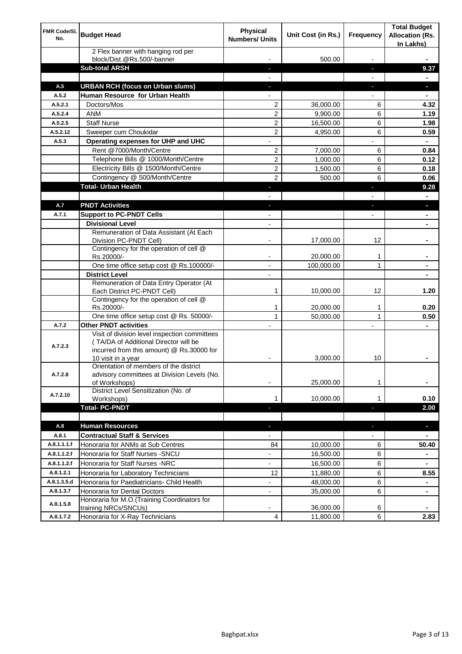| FMR Code/SI.<br>No. | <b>Budget Head</b>                                                                                                                                        | <b>Physical</b><br><b>Numbers/ Units</b> | Unit Cost (in Rs.) | <b>Frequency</b>         | <b>Total Budget</b><br><b>Allocation (Rs.</b><br>In Lakhs) |
|---------------------|-----------------------------------------------------------------------------------------------------------------------------------------------------------|------------------------------------------|--------------------|--------------------------|------------------------------------------------------------|
|                     | 2 Flex banner with hanging rod per<br>block/Dist.@Rs.500/-banner                                                                                          |                                          | 500.00             |                          |                                                            |
|                     | <b>Sub-total ARSH</b>                                                                                                                                     |                                          |                    | ı                        | 9.37                                                       |
|                     |                                                                                                                                                           |                                          |                    |                          |                                                            |
| A.5                 | <b>URBAN RCH (focus on Urban slums)</b>                                                                                                                   |                                          |                    |                          | a.                                                         |
| A.5.2               | Human Resource for Urban Health                                                                                                                           |                                          |                    |                          |                                                            |
| A.5.2.1             | Doctors/Mos                                                                                                                                               | $\overline{2}$                           | 36,000.00          | 6                        | 4.32                                                       |
| A.5.2.4             | <b>ANM</b>                                                                                                                                                | 2                                        | 9,900.00           | 6                        | 1.19                                                       |
| A.5.2.5             | <b>Staff Nurse</b>                                                                                                                                        | 2                                        | 16,500.00          | 6                        | 1.98                                                       |
| A.5.2.12            | Sweeper cum Choukidar                                                                                                                                     | 2                                        | 4,950.00           | 6                        | 0.59                                                       |
| A.5.3               | Operating expenses for UHP and UHC                                                                                                                        |                                          |                    |                          | $\blacksquare$                                             |
|                     | Rent @7000/Month/Centre                                                                                                                                   | 2                                        | 7,000.00           | 6                        | 0.84                                                       |
|                     | Telephone Bills @ 1000/Month/Centre                                                                                                                       | 2                                        | 1,000.00           | 6                        | 0.12                                                       |
|                     | Electricity Bills @ 1500/Month/Centre                                                                                                                     | 2                                        | 1,500.00           | 6                        | 0.18                                                       |
|                     | Contingency @ 500/Month/Centre                                                                                                                            | $\overline{2}$                           | 500.00             | 6                        | 0.06                                                       |
|                     | <b>Total- Urban Health</b>                                                                                                                                | ٠                                        |                    | ٠                        | 9.28                                                       |
|                     |                                                                                                                                                           |                                          |                    |                          | $\blacksquare$                                             |
| A.7                 | <b>PNDT Activities</b>                                                                                                                                    | ٠                                        |                    | ٠                        | ٠                                                          |
| A.7.1               | <b>Support to PC-PNDT Cells</b>                                                                                                                           | ٠                                        |                    |                          | ۰                                                          |
|                     | <b>Divisional Level</b>                                                                                                                                   | $\overline{\phantom{a}}$                 |                    |                          | ۰                                                          |
|                     | Remuneration of Data Assistant (At Each<br>Division PC-PNDT Cell)                                                                                         |                                          | 17,000.00          | 12                       |                                                            |
|                     | Contingency for the operation of cell @<br>Rs.20000/-                                                                                                     |                                          | 20,000.00          | 1                        |                                                            |
|                     | One time office setup cost @ Rs.100000/-                                                                                                                  |                                          | 100,000.00         | 1                        |                                                            |
|                     | <b>District Level</b>                                                                                                                                     | $\overline{a}$                           |                    |                          |                                                            |
|                     | Remuneration of Data Entry Operator (At<br>Each District PC-PNDT Cell)                                                                                    | 1                                        | 10,000.00          | 12                       | 1.20                                                       |
|                     | Contingency for the operation of cell @<br>Rs.20000/-                                                                                                     | 1                                        | 20,000.00          | 1                        | 0.20                                                       |
|                     | One time office setup cost @ Rs. 50000/-                                                                                                                  | $\mathbf{1}$                             | 50,000.00          | $\mathbf{1}$             | 0.50                                                       |
| A.7.2               | <b>Other PNDT activities</b>                                                                                                                              |                                          |                    |                          |                                                            |
| A.7.2.3             | Visit of division level inspection committees<br>(TA/DA of Additional Director will be<br>incurred from this amount) @ Rs.30000 for<br>10 visit in a year |                                          | 3,000.00           | 10                       |                                                            |
| A.7.2.8             | Orientation of members of the district<br>advisory committees at Division Levels (No.<br>of Workshops)                                                    |                                          | 25,000.00          | 1                        | ۰                                                          |
| A.7.2.10            | District Level Sensitization (No. of<br>Workshops)                                                                                                        | 1                                        | 10,000.00          | 1                        | 0.10                                                       |
|                     | <b>Total- PC-PNDT</b>                                                                                                                                     |                                          |                    |                          | 2.00                                                       |
|                     |                                                                                                                                                           |                                          |                    |                          |                                                            |
| A.8                 | <b>Human Resources</b>                                                                                                                                    | $\blacksquare$                           |                    | $\overline{\phantom{a}}$ | ÷,                                                         |
| A.8.1               | <b>Contractual Staff &amp; Services</b>                                                                                                                   |                                          |                    |                          |                                                            |
| A.8.1.1.1.f         | Honoraria for ANMs at Sub Centres                                                                                                                         | 84                                       | 10,000.00          | 6                        | 50.40                                                      |
| A.8.1.1.2.f         | Honoraria for Staff Nurses - SNCU                                                                                                                         |                                          | 16,500.00          | 6                        |                                                            |
| A.8.1.1.2.f         | Honoraria for Staff Nurses -NRC                                                                                                                           | $\overline{\phantom{a}}$                 | 16,500.00          | 6                        |                                                            |
| A.8.1.2.1           | Honoraria for Laboratory Technicians                                                                                                                      | 12                                       | 11,880.00          | 6                        | 8.55                                                       |
| A.8.1.3.5.d         | Honoraria for Paediatricians- Child Health                                                                                                                |                                          | 48,000.00          | 6                        |                                                            |
| A.8.1.3.7           | Honoraria for Dental Doctors                                                                                                                              | $\blacksquare$                           | 35,000.00          | 6                        | $\blacksquare$                                             |
| A.8.1.5.8           | Honoraria for M.O.(Training Coordinators for<br>training NRCs/SNCUs)                                                                                      |                                          | 36,000.00          | 6                        |                                                            |
| A.8.1.7.2           | Honoraria for X-Ray Technicians                                                                                                                           | 4                                        | 11,800.00          | 6                        | 2.83                                                       |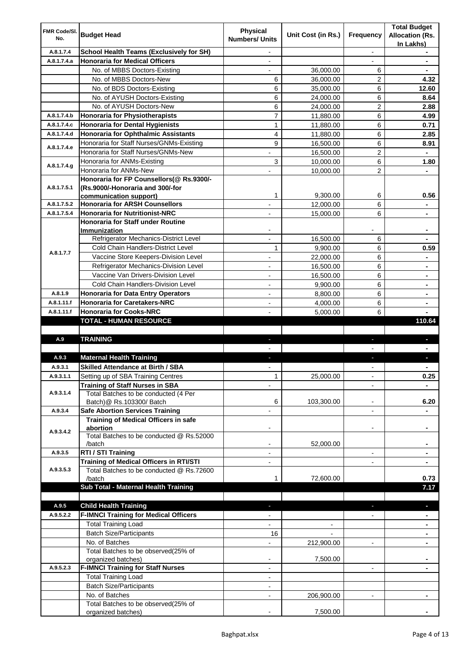| FMR Code/SI.       |                                                                            | <b>Physical</b>          |                    |                          | <b>Total Budget</b>    |
|--------------------|----------------------------------------------------------------------------|--------------------------|--------------------|--------------------------|------------------------|
| No.                | <b>Budget Head</b>                                                         | <b>Numbers/ Units</b>    | Unit Cost (in Rs.) | Frequency                | <b>Allocation (Rs.</b> |
| A.8.1.7.4          | <b>School Health Teams (Exclusively for SH)</b>                            | $\overline{\phantom{a}}$ |                    | $\overline{\phantom{a}}$ | In Lakhs)              |
| A.8.1.7.4.a        | <b>Honoraria for Medical Officers</b>                                      | $\overline{\phantom{a}}$ |                    | $\overline{\phantom{a}}$ | $\blacksquare$         |
|                    | No. of MBBS Doctors-Existing                                               | $\overline{\phantom{a}}$ | 36,000.00          | 6                        | $\blacksquare$         |
|                    | No. of MBBS Doctors-New                                                    | 6                        | 36,000.00          | 2                        | 4.32                   |
|                    | No. of BDS Doctors-Existing                                                | 6                        | 35,000.00          | 6                        | 12.60                  |
|                    | No. of AYUSH Doctors-Existing                                              | 6                        | 24,000.00          | 6                        | 8.64                   |
|                    | No. of AYUSH Doctors-New                                                   | 6                        | 24.000.00          | $\overline{c}$           | 2.88                   |
| A.8.1.7.4.b        | <b>Honoraria for Physiotherapists</b>                                      | $\overline{7}$           | 11,880.00          | 6                        | 4.99                   |
| A.8.1.7.4.c        | <b>Honoraria for Dental Hygienists</b>                                     | $\mathbf{1}$             | 11,880.00          | 6                        | 0.71                   |
| A.8.1.7.4.d        | Honoraria for Ophthalmic Assistants                                        | 4                        | 11,880.00          | 6                        | 2.85                   |
| A.8.1.7.4.e        | Honoraria for Staff Nurses/GNMs-Existing                                   | 9                        | 16,500.00          | 6                        | 8.91                   |
|                    | Honoraria for Staff Nurses/GNMs-New                                        |                          | 16,500.00          | 2                        |                        |
| A.8.1.7.4.g        | Honoraria for ANMs-Existing                                                | 3                        | 10,000.00          | 6                        | 1.80                   |
|                    | Honoraria for ANMs-New                                                     |                          | 10,000.00          | $\overline{2}$           |                        |
|                    | Honoraria for FP Counsellors(@ Rs.9300/-                                   |                          |                    |                          |                        |
| A.8.1.7.5.1        | (Rs.9000/-Honoraria and 300/-for                                           |                          |                    |                          |                        |
|                    | communication support)<br><b>Honoraria for ARSH Counsellors</b>            | 1                        | 9,300.00           | 6                        | 0.56                   |
| A.8.1.7.5.2        |                                                                            |                          | 12,000.00          | 6                        |                        |
| A.8.1.7.5.4        | <b>Honoraria for Nutritionist-NRC</b><br>Honoraria for Staff under Routine |                          | 15,000.00          | 6                        |                        |
|                    | Immunization                                                               |                          |                    |                          |                        |
|                    | Refrigerator Mechanics-District Level                                      |                          | 16,500.00          | 6                        |                        |
|                    | Cold Chain Handlers-District Level                                         | 1                        | 9,900.00           | 6                        | 0.59                   |
| A.8.1.7.7          | Vaccine Store Keepers-Division Level                                       | $\overline{\phantom{a}}$ | 22,000.00          | 6                        | ٠                      |
|                    | Refrigerator Mechanics-Division Level                                      | $\overline{\phantom{a}}$ | 16,500.00          | 6                        | $\blacksquare$         |
|                    | Vaccine Van Drivers-Division Level                                         | $\overline{\phantom{a}}$ | 16,500.00          | 6                        | ۰                      |
|                    | Cold Chain Handlers-Division Level                                         | $\overline{\phantom{a}}$ | 9,900.00           | 6                        | ۰                      |
| A.8.1.9            | <b>Honoraria for Data Entry Operators</b>                                  | $\overline{\phantom{a}}$ | 8,800.00           | 6                        | ۰                      |
| A.8.1.11.f         | <b>Honoraria for Caretakers-NRC</b>                                        |                          | 4,000.00           | 6                        |                        |
| A.8.1.11.f         | <b>Honoraria for Cooks-NRC</b>                                             |                          | 5,000.00           | 6                        |                        |
|                    | TOTAL - HUMAN RESOURCE                                                     |                          |                    |                          | 110.64                 |
|                    |                                                                            |                          |                    |                          |                        |
| A.9                | <b>TRAINING</b>                                                            |                          |                    |                          |                        |
|                    |                                                                            |                          |                    |                          |                        |
| A.9.3              | <b>Maternal Health Training</b>                                            |                          |                    |                          |                        |
| A.9.3.1            | <b>Skilled Attendance at Birth / SBA</b>                                   |                          |                    |                          |                        |
| A.9.3.1.1          | Setting up of SBA Training Centres                                         | $\mathbf{1}$             | 25,000.00          | $\overline{\phantom{0}}$ | 0.25                   |
| A.9.3.1.4          | <b>Training of Staff Nurses in SBA</b>                                     |                          |                    |                          |                        |
|                    | Total Batches to be conducted (4 Per<br>Batch)@ Rs.103300/ Batch           | 6                        | 103,300.00         | $\overline{\phantom{a}}$ | 6.20                   |
| A.9.3.4            | <b>Safe Abortion Services Training</b>                                     | $\overline{a}$           |                    | $\overline{\phantom{a}}$ |                        |
|                    | Training of Medical Officers in safe                                       |                          |                    |                          |                        |
|                    | abortion                                                                   |                          |                    |                          |                        |
| A.9.3.4.2          | Total Batches to be conducted @ Rs.52000                                   |                          |                    |                          |                        |
|                    | /batch                                                                     |                          | 52,000.00          |                          | ۰                      |
| A.9.3.5            | RTI / STI Training                                                         | $\overline{\phantom{a}}$ |                    | $\overline{\phantom{a}}$ | ۰                      |
|                    | <b>Training of Medical Officers in RTI/STI</b>                             | $\overline{\phantom{a}}$ |                    | $\overline{\phantom{a}}$ | ٠                      |
| A.9.3.5.3          | Total Batches to be conducted @ Rs.72600                                   |                          |                    |                          |                        |
|                    | /batch                                                                     | 1                        | 72,600.00          |                          | 0.73                   |
|                    | Sub Total - Maternal Health Training                                       |                          |                    |                          | 7.17                   |
|                    |                                                                            |                          |                    |                          |                        |
| A.9.5<br>A.9.5.2.2 | <b>Child Health Training</b>                                               |                          |                    |                          |                        |
|                    | <b>F-IMNCI Training for Medical Officers</b>                               |                          |                    |                          |                        |
|                    | <b>Total Training Load</b><br><b>Batch Size/Participants</b>               |                          |                    |                          |                        |
|                    | No. of Batches                                                             | 16                       |                    |                          |                        |
|                    | Total Batches to be observed(25% of                                        |                          | 212,900.00         |                          |                        |
|                    | organized batches)                                                         |                          | 7,500.00           |                          |                        |
| A.9.5.2.3          | <b>F-IMNCI Training for Staff Nurses</b>                                   | $\overline{\phantom{a}}$ |                    | $\overline{\phantom{a}}$ |                        |
|                    | <b>Total Training Load</b>                                                 | $\overline{\phantom{a}}$ |                    |                          |                        |
|                    | <b>Batch Size/Participants</b>                                             |                          |                    |                          |                        |
|                    | No. of Batches                                                             |                          | 206,900.00         |                          |                        |
|                    | Total Batches to be observed(25% of                                        |                          |                    |                          |                        |
|                    | organized batches)                                                         |                          | 7,500.00           |                          |                        |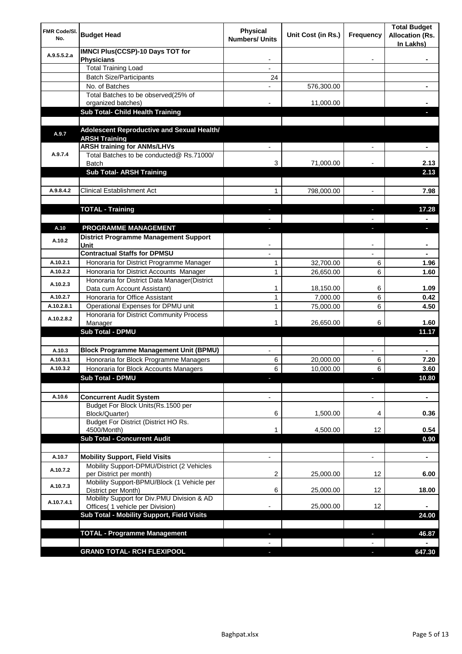| FMR Code/SI.<br>No. | <b>Budget Head</b>                                                             | Physical<br><b>Numbers/ Units</b> | Unit Cost (in Rs.) | <b>Frequency</b>         | <b>Total Budget</b><br><b>Allocation (Rs.</b><br>In Lakhs) |
|---------------------|--------------------------------------------------------------------------------|-----------------------------------|--------------------|--------------------------|------------------------------------------------------------|
| A.9.5.5.2.a         | <b>IMNCI Plus(CCSP)-10 Days TOT for</b><br><b>Physicians</b>                   |                                   |                    |                          |                                                            |
|                     | <b>Total Training Load</b>                                                     |                                   |                    |                          |                                                            |
|                     | <b>Batch Size/Participants</b>                                                 | 24                                |                    |                          |                                                            |
|                     | No. of Batches                                                                 |                                   | 576,300.00         |                          |                                                            |
|                     | Total Batches to be observed(25% of                                            |                                   |                    |                          |                                                            |
|                     | organized batches)                                                             |                                   | 11,000.00          |                          |                                                            |
|                     | Sub Total- Child Health Training                                               |                                   |                    |                          |                                                            |
|                     |                                                                                |                                   |                    |                          |                                                            |
| A.9.7               | Adolescent Reproductive and Sexual Health/<br><b>ARSH Training</b>             |                                   |                    |                          |                                                            |
|                     | <b>ARSH training for ANMs/LHVs</b>                                             |                                   |                    |                          |                                                            |
| A.9.7.4             | Total Batches to be conducted@ Rs.71000/<br>Batch                              | 3                                 | 71,000.00          |                          | 2.13                                                       |
|                     | <b>Sub Total- ARSH Training</b>                                                |                                   |                    |                          | 2.13                                                       |
| A.9.8.4.2           | <b>Clinical Establishment Act</b>                                              | 1                                 | 798,000.00         | $\overline{\phantom{a}}$ | 7.98                                                       |
|                     |                                                                                |                                   |                    |                          |                                                            |
|                     | <b>TOTAL - Training</b>                                                        | ٠                                 |                    | ٠                        | 17.28                                                      |
|                     |                                                                                |                                   |                    |                          |                                                            |
| A.10<br>A.10.2      | PROGRAMME MANAGEMENT<br><b>District Programme Management Support</b><br>Unit   | J,                                |                    | ı                        | ٠                                                          |
|                     | <b>Contractual Staffs for DPMSU</b>                                            |                                   |                    |                          |                                                            |
| A.10.2.1            | Honoraria for District Programme Manager                                       | 1                                 | 32,700.00          | 6                        | 1.96                                                       |
| A.10.2.2            | Honoraria for District Accounts Manager                                        | $\mathbf{1}$                      | 26,650.00          | 6                        | 1.60                                                       |
|                     | Honoraria for District Data Manager(District                                   |                                   |                    |                          |                                                            |
| A.10.2.3            | Data cum Account Assistant)                                                    | 1                                 | 18,150.00          | 6                        | 1.09                                                       |
| A.10.2.7            | Honoraria for Office Assistant                                                 | 1                                 | 7,000.00           | 6                        | 0.42                                                       |
| A.10.2.8.1          | Operational Expenses for DPMU unit                                             | $\mathbf{1}$                      | 75,000.00          | 6                        | 4.50                                                       |
| A.10.2.8.2          | Honoraria for District Community Process                                       |                                   |                    |                          |                                                            |
|                     | Manager                                                                        | 1                                 | 26,650.00          | 6                        | 1.60                                                       |
|                     | <b>Sub Total - DPMU</b>                                                        |                                   |                    |                          | 11.17                                                      |
|                     |                                                                                |                                   |                    |                          |                                                            |
| A.10.3              | <b>Block Programme Management Unit (BPMU)</b>                                  |                                   |                    |                          |                                                            |
| A.10.3.1            | Honoraria for Block Programme Managers                                         | 6                                 | 20.000.00          | 6                        | 7.20                                                       |
| A.10.3.2            | Honoraria for Block Accounts Managers                                          | 6                                 | 10,000.00          | 6 <sup>1</sup>           | 3.60                                                       |
|                     | <b>Sub Total - DPMU</b>                                                        |                                   |                    |                          | 10.80                                                      |
|                     |                                                                                |                                   |                    |                          |                                                            |
| A.10.6              | <b>Concurrent Audit System</b>                                                 |                                   |                    |                          | ÷,                                                         |
|                     | Budget For Block Units(Rs.1500 per<br>Block/Quarter)                           | 6                                 | 1,500.00           | 4                        | 0.36                                                       |
|                     | Budget For District (District HO Rs.                                           |                                   |                    |                          |                                                            |
|                     | 4500/Month)<br><b>Sub Total - Concurrent Audit</b>                             | 1                                 | 4,500.00           | 12                       | 0.54<br>0.90                                               |
|                     |                                                                                |                                   |                    |                          |                                                            |
| A.10.7              | <b>Mobility Support, Field Visits</b>                                          | $\overline{a}$                    |                    | $\overline{a}$           | ٠                                                          |
| A.10.7.2            | Mobility Support-DPMU/District (2 Vehicles                                     |                                   |                    |                          |                                                            |
|                     | per District per month)                                                        | 2                                 | 25,000.00          | 12                       | 6.00                                                       |
| A.10.7.3            | Mobility Support-BPMU/Block (1 Vehicle per<br>District per Month)              | 6                                 | 25,000.00          | 12                       | 18.00                                                      |
| A.10.7.4.1          | Mobility Support for Div.PMU Division & AD<br>Offices( 1 vehicle per Division) |                                   | 25,000.00          | 12                       |                                                            |
|                     | Sub Total - Mobility Support, Field Visits                                     |                                   |                    |                          | 24.00                                                      |
|                     |                                                                                |                                   |                    |                          |                                                            |
|                     | <b>TOTAL - Programme Management</b>                                            |                                   |                    |                          | 46.87                                                      |
|                     |                                                                                |                                   |                    |                          |                                                            |
|                     | <b>GRAND TOTAL- RCH FLEXIPOOL</b>                                              |                                   |                    |                          | 647.30                                                     |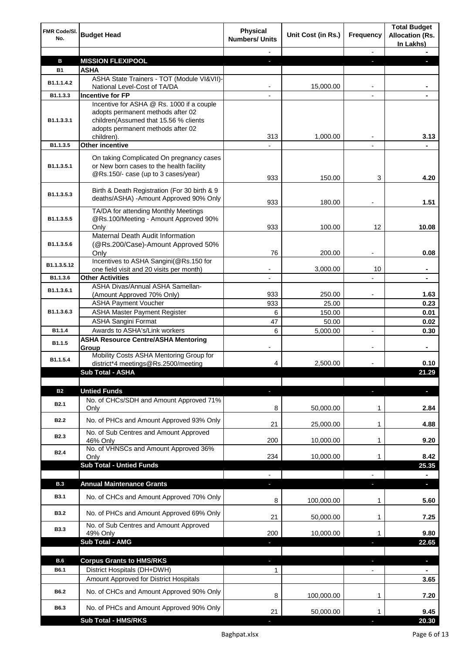| FMR Code/SI.<br>No.     | <b>Budget Head</b>                                                                                                                                                         | <b>Physical</b><br><b>Numbers/ Units</b> | Unit Cost (in Rs.) | <b>Frequency</b> | <b>Total Budget</b><br><b>Allocation (Rs.</b><br>In Lakhs) |
|-------------------------|----------------------------------------------------------------------------------------------------------------------------------------------------------------------------|------------------------------------------|--------------------|------------------|------------------------------------------------------------|
|                         |                                                                                                                                                                            |                                          |                    |                  |                                                            |
| в                       | <b>MISSION FLEXIPOOL</b>                                                                                                                                                   | J,                                       |                    | r.               |                                                            |
| <b>B1</b>               | <b>ASHA</b>                                                                                                                                                                |                                          |                    |                  |                                                            |
| B <sub>1.1</sub> .1.4.2 | ASHA State Trainers - TOT (Module VI&VII)-<br>National Level-Cost of TA/DA                                                                                                 |                                          | 15,000.00          |                  |                                                            |
| B1.1.3.3                | <b>Incentive for FP</b>                                                                                                                                                    |                                          |                    | $\blacksquare$   |                                                            |
| B1.1.3.3.1              | Incentive for ASHA @ Rs. 1000 if a couple<br>adopts permanent methods after 02<br>children(Assumed that 15.56 % clients<br>adopts permanent methods after 02<br>children). | 313                                      | 1,000.00           |                  | 3.13                                                       |
| B1.1.3.5                | <b>Other incentive</b>                                                                                                                                                     |                                          |                    |                  |                                                            |
| B1.1.3.5.1              | On taking Complicated On pregnancy cases<br>or New born cases to the health facility<br>@Rs.150/- case (up to 3 cases/year)                                                | 933                                      | 150.00             | 3                | 4.20                                                       |
| B1.1.3.5.3              | Birth & Death Registration (For 30 birth & 9<br>deaths/ASHA) -Amount Approved 90% Only                                                                                     | 933                                      | 180.00             |                  | 1.51                                                       |
| B1.1.3.5.5              | TA/DA for attending Monthly Meetings<br>@Rs.100/Meeting - Amount Approved 90%                                                                                              |                                          |                    |                  |                                                            |
|                         | Only<br><b>Maternal Death Audit Information</b>                                                                                                                            | 933                                      | 100.00             | 12               | 10.08                                                      |
| B1.1.3.5.6              | (@Rs.200/Case)-Amount Approved 50%<br>Only                                                                                                                                 | 76                                       | 200.00             | $\overline{a}$   | 0.08                                                       |
| B1.1.3.5.12             | Incentives to ASHA Sangini(@Rs.150 for                                                                                                                                     |                                          |                    |                  |                                                            |
|                         | one field visit and 20 visits per month)                                                                                                                                   |                                          | 3,000.00           | 10               |                                                            |
| B1.1.3.6                | <b>Other Activities</b><br>ASHA Divas/Annual ASHA Samellan-                                                                                                                |                                          |                    |                  |                                                            |
| B1.1.3.6.1              | (Amount Approved 70% Only)                                                                                                                                                 | 933                                      | 250.00             |                  | 1.63                                                       |
|                         | <b>ASHA Payment Voucher</b>                                                                                                                                                | 933                                      | 25.00              |                  | 0.23                                                       |
| B1.1.3.6.3              | <b>ASHA Master Payment Register</b>                                                                                                                                        | 6                                        | 150.00             |                  | 0.01                                                       |
|                         | <b>ASHA Sangini Format</b>                                                                                                                                                 | 47                                       | 50.00              |                  | 0.02                                                       |
| B1.1.4                  | Awards to ASHA's/Link workers                                                                                                                                              | 6                                        | 5,000.00           |                  | 0.30                                                       |
| B1.1.5                  | <b>ASHA Resource Centre/ASHA Mentoring</b><br>Group                                                                                                                        |                                          |                    |                  | ۰                                                          |
| B1.1.5.4                | Mobility Costs ASHA Mentoring Group for<br>district*4 meetings@Rs.2500/meeting                                                                                             | 4                                        | 2,500.00           |                  | 0.10                                                       |
|                         | Sub Total - ASHA                                                                                                                                                           |                                          |                    |                  | 21.29                                                      |
| <b>B2</b>               | <b>Untied Funds</b>                                                                                                                                                        |                                          |                    |                  | ٠                                                          |
| <b>B2.1</b>             | No. of CHCs/SDH and Amount Approved 71%<br>Only                                                                                                                            | 8                                        | 50,000.00          | 1                | 2.84                                                       |
| <b>B2.2</b>             | No. of PHCs and Amount Approved 93% Only                                                                                                                                   | 21                                       | 25,000.00          | 1                | 4.88                                                       |
| <b>B2.3</b>             | No. of Sub Centres and Amount Approved<br>46% Only                                                                                                                         | 200                                      | 10,000.00          | 1                | 9.20                                                       |
| <b>B2.4</b>             | No. of VHNSCs and Amount Approved 36%<br>Only                                                                                                                              | 234                                      | 10,000.00          | 1                | 8.42                                                       |
|                         | <b>Sub Total - Untied Funds</b>                                                                                                                                            |                                          |                    |                  | 25.35                                                      |
|                         |                                                                                                                                                                            |                                          |                    |                  | ٠                                                          |
| B.3                     | <b>Annual Maintenance Grants</b>                                                                                                                                           |                                          |                    |                  | ×.                                                         |
| <b>B3.1</b>             | No. of CHCs and Amount Approved 70% Only                                                                                                                                   | 8                                        | 100,000.00         | 1                | 5.60                                                       |
| <b>B3.2</b>             | No. of PHCs and Amount Approved 69% Only                                                                                                                                   | 21                                       | 50,000.00          | 1                | 7.25                                                       |
| <b>B3.3</b>             | No. of Sub Centres and Amount Approved<br>49% Only<br>Sub Total - AMG                                                                                                      | 200                                      | 10,000.00          | 1                | 9.80<br>22.65                                              |
|                         |                                                                                                                                                                            |                                          |                    |                  |                                                            |
| B.6                     | <b>Corpus Grants to HMS/RKS</b>                                                                                                                                            | $\overline{\phantom{a}}$                 |                    | b.               | $\overline{\phantom{a}}$                                   |
| B6.1                    | District Hospitals (DH+DWH)                                                                                                                                                | 1                                        |                    | $\blacksquare$   | $\blacksquare$                                             |
|                         | Amount Approved for District Hospitals                                                                                                                                     |                                          |                    |                  | 3.65                                                       |
| <b>B6.2</b>             | No. of CHCs and Amount Approved 90% Only                                                                                                                                   | 8                                        | 100,000.00         | 1                | 7.20                                                       |
| B6.3                    | No. of PHCs and Amount Approved 90% Only                                                                                                                                   | 21                                       | 50,000.00          | 1                | 9.45                                                       |
|                         | <b>Sub Total - HMS/RKS</b>                                                                                                                                                 |                                          |                    |                  | 20.30                                                      |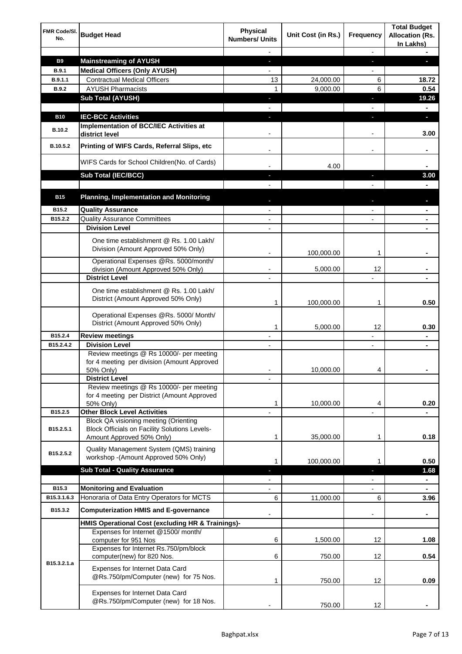| FMR Code/SI.<br>No. | <b>Budget Head</b>                                                                                                         | Physical<br><b>Numbers/ Units</b> | Unit Cost (in Rs.) | <b>Frequency</b> | <b>Total Budget</b><br><b>Allocation (Rs.</b><br>In Lakhs) |
|---------------------|----------------------------------------------------------------------------------------------------------------------------|-----------------------------------|--------------------|------------------|------------------------------------------------------------|
|                     |                                                                                                                            |                                   |                    |                  |                                                            |
| <b>B9</b>           | <b>Mainstreaming of AYUSH</b>                                                                                              | J,                                |                    | J,               |                                                            |
| <b>B.9.1</b>        | <b>Medical Officers (Only AYUSH)</b>                                                                                       |                                   |                    |                  |                                                            |
| B.9.1.1             | <b>Contractual Medical Officers</b>                                                                                        | 13                                | 24,000.00          | 6                | 18.72                                                      |
| <b>B.9.2</b>        | <b>AYUSH Pharmacists</b>                                                                                                   | 1                                 | 9,000.00           | 6                | 0.54                                                       |
|                     | <b>Sub Total (AYUSH)</b>                                                                                                   |                                   |                    | r                | 19.26                                                      |
|                     |                                                                                                                            |                                   |                    |                  |                                                            |
| <b>B10</b>          | <b>IEC-BCC Activities</b>                                                                                                  | L                                 |                    | r                | ٠                                                          |
| B.10.2              | Implementation of BCC/IEC Activities at<br>district level                                                                  |                                   |                    |                  | 3.00                                                       |
| B.10.5.2            | Printing of WIFS Cards, Referral Slips, etc                                                                                |                                   |                    |                  |                                                            |
|                     | WIFS Cards for School Children(No. of Cards)                                                                               |                                   | 4.00               |                  |                                                            |
|                     | Sub Total (IEC/BCC)                                                                                                        |                                   |                    |                  | 3.00                                                       |
|                     |                                                                                                                            |                                   |                    |                  |                                                            |
| <b>B15</b>          | <b>Planning, Implementation and Monitoring</b>                                                                             |                                   |                    |                  |                                                            |
| B <sub>15.2</sub>   | <b>Quality Assurance</b>                                                                                                   |                                   |                    |                  |                                                            |
| B15.2.2             | <b>Quality Assurance Committees</b>                                                                                        |                                   |                    |                  |                                                            |
|                     | <b>Division Level</b>                                                                                                      |                                   |                    |                  |                                                            |
|                     | One time establishment @ Rs. 1.00 Lakh/<br>Division (Amount Approved 50% Only)                                             | $\blacksquare$                    | 100,000.00         | 1                |                                                            |
|                     | Operational Expenses @Rs. 5000/month/                                                                                      |                                   |                    |                  |                                                            |
|                     | division (Amount Approved 50% Only)                                                                                        |                                   | 5,000.00           | 12               |                                                            |
|                     | <b>District Level</b>                                                                                                      |                                   |                    |                  |                                                            |
|                     | One time establishment @ Rs. 1.00 Lakh/<br>District (Amount Approved 50% Only)                                             | 1                                 | 100,000.00         | 1                | 0.50                                                       |
|                     | Operational Expenses @Rs. 5000/ Month/<br>District (Amount Approved 50% Only)                                              | 1                                 | 5,000.00           | 12               | 0.30                                                       |
| B15.2.4             | <b>Review meetings</b>                                                                                                     |                                   |                    |                  |                                                            |
| B15.2.4.2           | <b>Division Level</b>                                                                                                      |                                   |                    |                  |                                                            |
|                     | Review meetings @ Rs 10000/- per meeting<br>for 4 meeting per division (Amount Approved<br>50% Only)                       |                                   | 10,000.00          | 4                |                                                            |
|                     | <b>District Level</b>                                                                                                      |                                   |                    |                  |                                                            |
|                     | Review meetings @ Rs 10000/- per meeting<br>for 4 meeting per District (Amount Approved<br>50% Only)                       | 1                                 | 10,000.00          | 4                | 0.20                                                       |
| B15.2.5             | <b>Other Block Level Activities</b>                                                                                        |                                   |                    |                  |                                                            |
| B15.2.5.1           | Block QA visioning meeting (Orienting<br><b>Block Officials on Facility Solutions Levels-</b><br>Amount Approved 50% Only) | 1                                 | 35,000.00          | 1                | 0.18                                                       |
| B15.2.5.2           | Quality Management System (QMS) training<br>workshop - (Amount Approved 50% Only)                                          | 1                                 | 100,000.00         | 1                | 0.50                                                       |
|                     | <b>Sub Total - Quality Assurance</b>                                                                                       |                                   |                    |                  | 1.68                                                       |
|                     |                                                                                                                            |                                   |                    |                  | ٠                                                          |
| B15.3               | <b>Monitoring and Evaluation</b>                                                                                           |                                   |                    |                  | ٠                                                          |
| B15.3.1.6.3         | Honoraria of Data Entry Operators for MCTS                                                                                 | 6                                 | 11,000.00          | 6                | 3.96                                                       |
| B15.3.2             | <b>Computerization HMIS and E-governance</b>                                                                               |                                   |                    |                  | ۰                                                          |
|                     | HMIS Operational Cost (excluding HR & Trainings)-                                                                          |                                   |                    |                  |                                                            |
|                     | Expenses for Internet @1500/month/<br>computer for 951 Nos                                                                 | 6                                 | 1,500.00           | 12               | 1.08                                                       |
|                     | Expenses for Internet Rs.750/pm/block<br>computer(new) for 820 Nos.                                                        | 6                                 | 750.00             | 12               | 0.54                                                       |
| B15.3.2.1.a         | Expenses for Internet Data Card<br>@Rs.750/pm/Computer (new) for 75 Nos.                                                   | 1                                 | 750.00             | 12               | 0.09                                                       |
|                     | Expenses for Internet Data Card<br>@Rs.750/pm/Computer (new) for 18 Nos.                                                   |                                   | 750.00             | 12               |                                                            |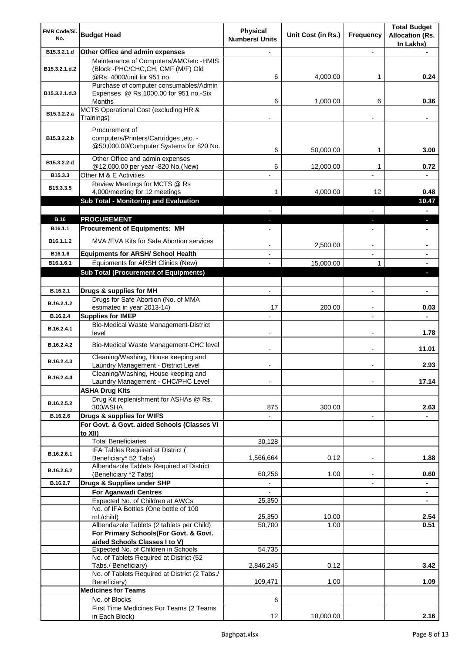| FMR Code/SI.<br>No.    | <b>Budget Head</b>                                                                                         | <b>Physical</b><br><b>Numbers/ Units</b> | Unit Cost (in Rs.) | Frequency                | <b>Total Budget</b><br><b>Allocation (Rs.</b><br>In Lakhs) |
|------------------------|------------------------------------------------------------------------------------------------------------|------------------------------------------|--------------------|--------------------------|------------------------------------------------------------|
| B15.3.2.1.d            | Other Office and admin expenses                                                                            |                                          |                    |                          |                                                            |
| B15.3.2.1.d.2          | Maintenance of Computers/AMC/etc -HMIS<br>(Block -PHC/CHC, CH, CMF (M/F) Old<br>@Rs. 4000/unit for 951 no. | 6                                        | 4,000.00           | 1                        | 0.24                                                       |
| B15.3.2.1.d.3          | Purchase of computer consumables/Admin<br>Expenses @ Rs.1000.00 for 951 no.-Six<br>Months                  | 6                                        | 1,000.00           | 6                        | 0.36                                                       |
| B15.3.2.2.a            | MCTS Operational Cost (excluding HR &<br>Trainings)                                                        |                                          |                    |                          | ۰                                                          |
| B15.3.2.2.b            | Procurement of<br>computers/Printers/Cartridges ,etc. -<br>@50,000.00/Computer Systems for 820 No.         | 6                                        | 50,000.00          | 1                        | 3.00                                                       |
| B15.3.2.2.d            | Other Office and admin expenses<br>@12,000.00 per year -820 No.(New)                                       | 6                                        | 12,000.00          | 1                        | 0.72                                                       |
| B15.3.3                | Other M & E Activities                                                                                     |                                          |                    |                          |                                                            |
| B15.3.3.5              | Review Meetings for MCTS @ Rs                                                                              |                                          |                    |                          |                                                            |
|                        | 4,000/meeting for 12 meetings<br>Sub Total - Monitoring and Evaluation                                     |                                          | 4,000.00           | 12                       | 0.48<br>10.47                                              |
|                        |                                                                                                            |                                          |                    |                          | $\blacksquare$                                             |
| <b>B.16</b>            | <b>PROCUREMENT</b>                                                                                         |                                          |                    | ٠                        | $\blacksquare$                                             |
| B16.1.1                | <b>Procurement of Equipments: MH</b>                                                                       |                                          |                    |                          |                                                            |
| B16.1.1.2              | MVA / EVA Kits for Safe Abortion services                                                                  |                                          | 2,500.00           |                          |                                                            |
| B16.1.6                | <b>Equipments for ARSH/ School Health</b>                                                                  |                                          |                    |                          |                                                            |
| B16.1.6.1              | Equipments for ARSH Clinics (New)                                                                          |                                          | 15,000.00          | $\mathbf{1}$             |                                                            |
|                        | <b>Sub Total (Procurement of Equipments)</b>                                                               |                                          |                    |                          |                                                            |
|                        |                                                                                                            |                                          |                    |                          |                                                            |
| B.16.2.1<br>B.16.2.1.2 | Drugs & supplies for MH<br>Drugs for Safe Abortion (No. of MMA                                             | $\overline{a}$                           |                    |                          |                                                            |
| B.16.2.4               | estimated in year 2013-14)<br><b>Supplies for IMEP</b>                                                     | 17                                       | 200.00             |                          | 0.03                                                       |
| B.16.2.4.1             | Bio-Medical Waste Management-District<br>level                                                             |                                          |                    |                          | 1.78                                                       |
| B.16.2.4.2             | Bio-Medical Waste Management-CHC level                                                                     |                                          |                    |                          | 11.01                                                      |
| B.16.2.4.3             | Cleaning/Washing, House keeping and<br>Laundry Management - District Level                                 |                                          |                    |                          | 2.93                                                       |
| B.16.2.4.4             | Cleaning/Washing, House keeping and<br>Laundry Management - CHC/PHC Level                                  |                                          |                    |                          | 17.14                                                      |
|                        | <b>ASHA Drug Kits</b>                                                                                      |                                          |                    |                          |                                                            |
| B.16.2.5.2             | Drug Kit replenishment for ASHAs @ Rs.<br>300/ASHA                                                         | 875                                      | 300.00             |                          | 2.63                                                       |
| B.16.2.6               | Drugs & supplies for WIFS                                                                                  |                                          |                    | $\blacksquare$           |                                                            |
|                        | For Govt. & Govt. aided Schools (Classes VI<br>to XII)                                                     |                                          |                    |                          |                                                            |
|                        | <b>Total Beneficiaries</b>                                                                                 | 30,128                                   |                    |                          |                                                            |
| B.16.2.6.1             | IFA Tables Required at District (<br>Beneficiary* 52 Tabs)                                                 | 1,566,664                                | 0.12               | $\overline{\phantom{a}}$ | 1.88                                                       |
| B.16.2.6.2             | Albendazole Tablets Required at District<br>(Beneficiary *2 Tabs)                                          | 60,256                                   | 1.00               | $\blacksquare$           | 0.60                                                       |
| B.16.2.7               | Drugs & Supplies under SHP                                                                                 |                                          |                    |                          |                                                            |
|                        | <b>For Aganwadi Centres</b>                                                                                |                                          |                    |                          |                                                            |
|                        | Expected No. of Children at AWCs                                                                           | 25,350                                   |                    |                          |                                                            |
|                        | No. of IFA Bottles (One bottle of 100                                                                      |                                          |                    |                          |                                                            |
|                        | ml./child)<br>Albendazole Tablets (2 tablets per Child)                                                    | 25,350<br>50,700                         | 10.00<br>1.00      |                          | 2.54<br>0.51                                               |
|                        | For Primary Schools(For Govt. & Govt.                                                                      |                                          |                    |                          |                                                            |
|                        | aided Schools Classes I to V)                                                                              |                                          |                    |                          |                                                            |
|                        | Expected No. of Children in Schools                                                                        | 54,735                                   |                    |                          |                                                            |
|                        | No. of Tablets Required at District (52<br>Tabs./ Beneficiary)                                             | 2,846,245                                | 0.12               |                          | 3.42                                                       |
|                        | No. of Tablets Required at District (2 Tabs./<br>Beneficiary)                                              | 109,471                                  | 1.00               |                          | 1.09                                                       |
|                        | <b>Medicines for Teams</b>                                                                                 |                                          |                    |                          |                                                            |
|                        | No. of Blocks                                                                                              | 6                                        |                    |                          |                                                            |
|                        | First Time Medicines For Teams (2 Teams                                                                    |                                          |                    |                          |                                                            |
|                        | in Each Block)                                                                                             | 12                                       | 18,000.00          |                          | 2.16                                                       |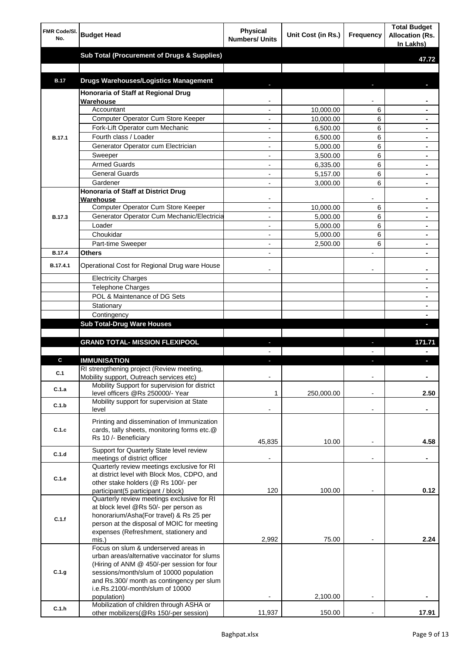| FMR Code/SI.<br>No. | <b>Budget Head</b>                                                                  | <b>Physical</b><br><b>Numbers/ Units</b> | Unit Cost (in Rs.)   | Frequency                | <b>Total Budget</b><br><b>Allocation (Rs.</b><br>In Lakhs) |
|---------------------|-------------------------------------------------------------------------------------|------------------------------------------|----------------------|--------------------------|------------------------------------------------------------|
|                     | <b>Sub Total (Procurement of Drugs &amp; Supplies)</b>                              |                                          |                      |                          | 47.72                                                      |
|                     |                                                                                     |                                          |                      |                          |                                                            |
| <b>B.17</b>         | <b>Drugs Warehouses/Logistics Management</b>                                        |                                          |                      |                          |                                                            |
|                     | Honoraria of Staff at Regional Drug                                                 |                                          |                      |                          |                                                            |
|                     | <b>Warehouse</b>                                                                    |                                          |                      |                          |                                                            |
|                     | Accountant                                                                          |                                          | 10,000.00            | 6                        |                                                            |
|                     | Computer Operator Cum Store Keeper                                                  |                                          | 10.000.00            | 6                        |                                                            |
|                     | Fork-Lift Operator cum Mechanic<br>Fourth class / Loader                            |                                          | 6,500.00             | 6                        |                                                            |
| B.17.1              | Generator Operator cum Electrician                                                  |                                          | 6,500.00<br>5,000.00 | 6<br>6                   |                                                            |
|                     | Sweeper                                                                             | $\overline{a}$                           | 3,500.00             | 6                        |                                                            |
|                     | <b>Armed Guards</b>                                                                 | $\overline{a}$                           | 6,335.00             | 6                        | $\blacksquare$                                             |
|                     | <b>General Guards</b>                                                               | $\overline{a}$                           | 5,157.00             | 6                        |                                                            |
|                     | Gardener                                                                            | $\overline{a}$                           | 3,000.00             | 6                        | $\blacksquare$                                             |
|                     | <b>Honoraria of Staff at District Drug</b>                                          |                                          |                      |                          |                                                            |
|                     | Warehouse<br>Computer Operator Cum Store Keeper                                     |                                          | 10,000.00            | 6                        |                                                            |
| <b>B.17.3</b>       | Generator Operator Cum Mechanic/Electricia                                          |                                          | 5,000.00             | 6                        |                                                            |
|                     | Loader                                                                              |                                          | 5,000.00             | 6                        |                                                            |
|                     | Choukidar                                                                           |                                          | 5,000.00             | 6                        |                                                            |
|                     | Part-time Sweeper                                                                   | $\overline{a}$                           | 2,500.00             | 6                        |                                                            |
| <b>B.17.4</b>       | Others                                                                              |                                          |                      |                          |                                                            |
| B.17.4.1            | Operational Cost for Regional Drug ware House                                       |                                          |                      |                          |                                                            |
|                     | <b>Electricity Charges</b>                                                          |                                          |                      |                          |                                                            |
|                     | Telephone Charges                                                                   |                                          |                      |                          |                                                            |
|                     | POL & Maintenance of DG Sets                                                        |                                          |                      |                          |                                                            |
|                     | Stationary                                                                          |                                          |                      |                          |                                                            |
|                     | Contingency                                                                         |                                          |                      |                          |                                                            |
|                     | <b>Sub Total-Drug Ware Houses</b>                                                   |                                          |                      |                          |                                                            |
|                     | <b>GRAND TOTAL- MISSION FLEXIPOOL</b>                                               |                                          |                      |                          | 171.71                                                     |
|                     |                                                                                     |                                          |                      |                          |                                                            |
| C.                  | <b>IMMUNISATION</b>                                                                 |                                          |                      |                          |                                                            |
| C.1                 | RI strengthening project (Review meeting,                                           |                                          |                      |                          |                                                            |
|                     | Mobility support, Outreach services etc)                                            |                                          |                      |                          |                                                            |
| C.1.a               | Mobility Support for supervision for district<br>level officers @Rs 250000/- Year   | 1                                        | 250,000.00           | $\overline{a}$           | 2.50                                                       |
| C.1.b               | Mobility support for supervision at State<br>level                                  |                                          |                      | $\overline{\phantom{a}}$ |                                                            |
|                     | Printing and dissemination of Immunization                                          |                                          |                      |                          |                                                            |
| C.1.c               | cards, tally sheets, monitoring forms etc.@                                         |                                          |                      |                          |                                                            |
|                     | Rs 10 /- Beneficiary                                                                | 45,835                                   | 10.00                |                          | 4.58                                                       |
| C.1.d               | Support for Quarterly State level review                                            |                                          |                      |                          |                                                            |
|                     | meetings of district officer<br>Quarterly review meetings exclusive for RI          |                                          |                      |                          | $\blacksquare$                                             |
|                     | at district level with Block Mos, CDPO, and                                         |                                          |                      |                          |                                                            |
| C.1.e               | other stake holders (@ Rs 100/- per                                                 |                                          |                      |                          |                                                            |
|                     | participant(5 participant / block)                                                  | 120                                      | 100.00               |                          | 0.12                                                       |
|                     | Quarterly review meetings exclusive for RI<br>at block level @Rs 50/- per person as |                                          |                      |                          |                                                            |
|                     | honorarium/Asha(For travel) & Rs 25 per                                             |                                          |                      |                          |                                                            |
| C.1.f               | person at the disposal of MOIC for meeting                                          |                                          |                      |                          |                                                            |
|                     | expenses (Refreshment, stationery and                                               |                                          |                      |                          |                                                            |
|                     | mis.)<br>Focus on slum & underserved areas in                                       | 2,992                                    | 75.00                |                          | 2.24                                                       |
|                     | urban areas/alternative vaccinator for slums                                        |                                          |                      |                          |                                                            |
|                     | (Hiring of ANM @ 450/-per session for four                                          |                                          |                      |                          |                                                            |
| C.1.g               | sessions/month/slum of 10000 population                                             |                                          |                      |                          |                                                            |
|                     | and Rs.300/ month as contingency per slum                                           |                                          |                      |                          |                                                            |
|                     | i.e.Rs.2100/-month/slum of 10000<br>population)                                     |                                          | 2,100.00             |                          |                                                            |
| C.1.h               | Mobilization of children through ASHA or                                            |                                          |                      |                          |                                                            |
|                     | other mobilizers (@Rs 150/-per session)                                             | 11,937                                   | 150.00               |                          | 17.91                                                      |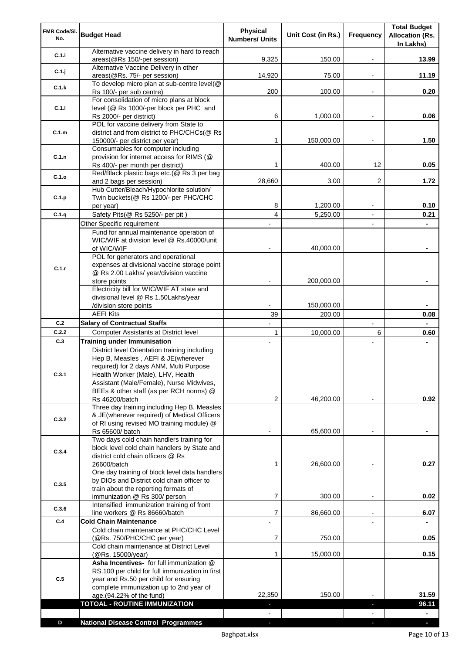| FMR Code/SI.<br>No. | <b>Budget Head</b>                                                                                                                                                                                                                                                           | <b>Physical</b><br><b>Numbers/ Units</b> | Unit Cost (in Rs.) | Frequency                | <b>Total Budget</b><br><b>Allocation (Rs.</b><br>In Lakhs) |
|---------------------|------------------------------------------------------------------------------------------------------------------------------------------------------------------------------------------------------------------------------------------------------------------------------|------------------------------------------|--------------------|--------------------------|------------------------------------------------------------|
| C.1.i               | Alternative vaccine delivery in hard to reach<br>areas(@Rs 150/-per session)                                                                                                                                                                                                 | 9,325                                    | 150.00             |                          | 13.99                                                      |
| C.1.j               | Alternative Vaccine Delivery in other<br>areas(@Rs. 75/- per session)                                                                                                                                                                                                        | 14,920                                   | 75.00              | $\overline{\phantom{a}}$ | 11.19                                                      |
| C.1.k               | To develop micro plan at sub-centre level(@                                                                                                                                                                                                                                  |                                          |                    |                          |                                                            |
|                     | Rs 100/- per sub centre)<br>For consolidation of micro plans at block                                                                                                                                                                                                        | 200                                      | 100.00             |                          | 0.20                                                       |
| C.1.1               | level (@ Rs 1000/-per block per PHC and<br>Rs 2000/- per district)                                                                                                                                                                                                           | 6                                        | 1,000.00           |                          | 0.06                                                       |
| C.1.m               | POL for vaccine delivery from State to<br>district and from district to PHC/CHCs(@ Rs                                                                                                                                                                                        |                                          |                    |                          |                                                            |
|                     | 150000/- per district per year)                                                                                                                                                                                                                                              | 1                                        | 150,000.00         |                          | 1.50                                                       |
| C.1.n               | Consumables for computer including<br>provision for internet access for RIMS (@                                                                                                                                                                                              |                                          |                    |                          |                                                            |
|                     | Rs 400/- per month per district)<br>Red/Black plastic bags etc.(@ Rs 3 per bag                                                                                                                                                                                               | 1                                        | 400.00             | 12                       | 0.05                                                       |
| C.1.o               | and 2 bags per session)                                                                                                                                                                                                                                                      | 28,660                                   | 3.00               | 2                        | 1.72                                                       |
| C.1.p               | Hub Cutter/Bleach/Hypochlorite solution/<br>Twin buckets(@ Rs 1200/- per PHC/CHC                                                                                                                                                                                             |                                          |                    |                          |                                                            |
|                     | per year)                                                                                                                                                                                                                                                                    | 8                                        | 1,200.00           |                          | 0.10                                                       |
| C.1.q               | Safety Pits(@ Rs 5250/- per pit)<br>Other Specific requirement                                                                                                                                                                                                               | 4                                        | 5,250.00           | $\blacksquare$           | 0.21                                                       |
|                     | Fund for annual maintenance operation of                                                                                                                                                                                                                                     |                                          |                    |                          |                                                            |
|                     | WIC/WIF at division level @ Rs.40000/unit<br>of WIC/WIF                                                                                                                                                                                                                      |                                          | 40,000.00          |                          |                                                            |
|                     | POL for generators and operational                                                                                                                                                                                                                                           |                                          |                    |                          |                                                            |
| C.1.r               | expenses at divisional vaccine storage point<br>@ Rs 2.00 Lakhs/ year/division vaccine                                                                                                                                                                                       |                                          |                    |                          |                                                            |
|                     | store points                                                                                                                                                                                                                                                                 |                                          | 200,000.00         |                          |                                                            |
|                     | Electricity bill for WIC/WIF AT state and<br>divisional level @ Rs 1.50Lakhs/year                                                                                                                                                                                            |                                          |                    |                          |                                                            |
|                     | /division store points                                                                                                                                                                                                                                                       |                                          | 150,000.00         |                          |                                                            |
| C.2                 | <b>AEFI Kits</b><br><b>Salary of Contractual Staffs</b>                                                                                                                                                                                                                      | 39                                       | 200.00             | $\overline{a}$           | 0.08<br>$\blacksquare$                                     |
| C.2.2               | Computer Assistants at District level                                                                                                                                                                                                                                        | 1                                        | 10,000.00          | 6                        | 0.60                                                       |
| C.3                 | <b>Training under Immunisation</b>                                                                                                                                                                                                                                           | ÷,                                       |                    |                          |                                                            |
| C.3.1               | District level Orientation training including<br>Hep B, Measles, AEFI & JE(wherever<br>required) for 2 days ANM, Multi Purpose<br>Health Worker (Male), LHV, Health<br>Assistant (Male/Female), Nurse Midwives,<br>BEEs & other staff (as per RCH norms) @<br>Rs 46200/batch | 2                                        | 46,200.00          |                          | 0.92                                                       |
| C.3.2               | Three day training including Hep B, Measles<br>& JE(wherever required) of Medical Officers                                                                                                                                                                                   |                                          |                    |                          |                                                            |
|                     | of RI using revised MO training module) @<br>Rs 65600/ batch                                                                                                                                                                                                                 |                                          | 65,600.00          |                          |                                                            |
| C.3.4               | Two days cold chain handlers training for<br>block level cold chain handlers by State and<br>district cold chain officers @ Rs                                                                                                                                               |                                          |                    |                          |                                                            |
|                     | 26600/batch                                                                                                                                                                                                                                                                  | 1                                        | 26,600.00          |                          | 0.27                                                       |
| C.3.5               | One day training of block level data handlers<br>by DIOs and District cold chain officer to<br>train about the reporting formats of<br>immunization @ Rs 300/ person                                                                                                         | 7                                        | 300.00             |                          | 0.02                                                       |
| C.3.6               | Intensified immunization training of front                                                                                                                                                                                                                                   |                                          |                    |                          |                                                            |
| C.4                 | line workers @ Rs 86660/batch<br><b>Cold Chain Maintenance</b>                                                                                                                                                                                                               | 7                                        | 86,660.00          | $\blacksquare$           | 6.07<br>$\blacksquare$                                     |
|                     | Cold chain maintenance at PHC/CHC Level<br>(@Rs. 750/PHC/CHC per year)                                                                                                                                                                                                       | $\overline{7}$                           | 750.00             |                          | 0.05                                                       |
|                     | Cold chain maintenance at District Level<br>(@Rs. 15000/year)                                                                                                                                                                                                                | 1                                        | 15,000.00          |                          | 0.15                                                       |
| C.5                 | Asha Incentives- for full immunization @<br>RS.100 per child for full immunization in first<br>year and Rs.50 per child for ensuring<br>complete immunization up to 2nd year of                                                                                              |                                          |                    |                          |                                                            |
|                     | age.(94.22% of the fund)                                                                                                                                                                                                                                                     | 22,350                                   | 150.00             |                          | 31.59                                                      |
|                     | TOTOAL - ROUTINE IMMUNIZATION                                                                                                                                                                                                                                                | a,                                       |                    |                          | 96.11                                                      |
| D                   | <b>National Disease Control Programmes</b>                                                                                                                                                                                                                                   |                                          |                    |                          |                                                            |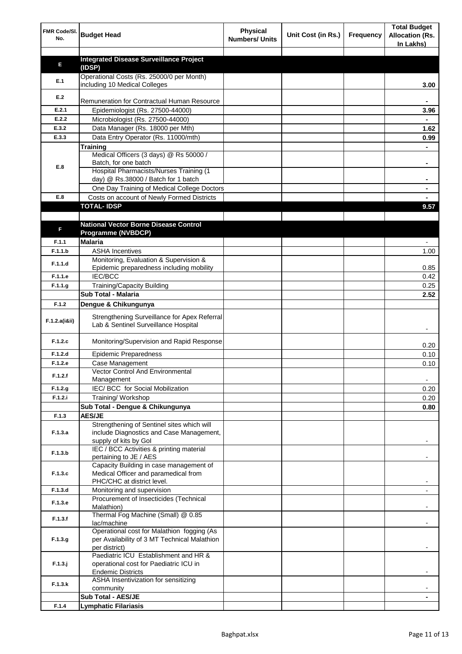| FMR Code/SI.<br>No. | <b>Budget Head</b>                                                                   | <b>Physical</b><br><b>Numbers/ Units</b> | Unit Cost (in Rs.) | Frequency | <b>Total Budget</b><br><b>Allocation (Rs.</b><br>In Lakhs) |
|---------------------|--------------------------------------------------------------------------------------|------------------------------------------|--------------------|-----------|------------------------------------------------------------|
|                     | <b>Integrated Disease Surveillance Project</b>                                       |                                          |                    |           |                                                            |
| Е                   | (IDSP)                                                                               |                                          |                    |           |                                                            |
|                     | Operational Costs (Rs. 25000/0 per Month)                                            |                                          |                    |           |                                                            |
| E.1                 | including 10 Medical Colleges                                                        |                                          |                    |           | 3.00                                                       |
| E.2                 | Remuneration for Contractual Human Resource                                          |                                          |                    |           |                                                            |
| E.2.1               | Epidemiologist (Rs. 27500-44000)                                                     |                                          |                    |           | 3.96                                                       |
| E.2.2               | Microbiologist (Rs. 27500-44000)                                                     |                                          |                    |           |                                                            |
| E.3.2               | Data Manager (Rs. 18000 per Mth)                                                     |                                          |                    |           | 1.62                                                       |
| E.3.3               | Data Entry Operator (Rs. 11000/mth)                                                  |                                          |                    |           | 0.99                                                       |
|                     | Training                                                                             |                                          |                    |           |                                                            |
|                     | Medical Officers (3 days) @ Rs 50000 /                                               |                                          |                    |           |                                                            |
| E.8                 | Batch, for one batch                                                                 |                                          |                    |           |                                                            |
|                     | Hospital Pharmacists/Nurses Training (1<br>day) @ Rs.38000 / Batch for 1 batch       |                                          |                    |           | ٠                                                          |
|                     | One Day Training of Medical College Doctors                                          |                                          |                    |           |                                                            |
| E.8                 | Costs on account of Newly Formed Districts                                           |                                          |                    |           |                                                            |
|                     | <b>TOTAL-IDSP</b>                                                                    |                                          |                    |           | 9.57                                                       |
|                     |                                                                                      |                                          |                    |           |                                                            |
|                     | <b>National Vector Borne Disease Control</b>                                         |                                          |                    |           |                                                            |
| F                   | Programme (NVBDCP)                                                                   |                                          |                    |           |                                                            |
| F.1.1               | <b>Malaria</b>                                                                       |                                          |                    |           |                                                            |
| F.1.1.b             | <b>ASHA Incentives</b>                                                               |                                          |                    |           | 1.00                                                       |
| F.1.1.d             | Monitoring, Evaluation & Supervision &                                               |                                          |                    |           |                                                            |
| F.1.1.e             | Epidemic preparedness including mobility<br>IEC/BCC                                  |                                          |                    |           | 0.85<br>0.42                                               |
| F.1.1.g             | <b>Training/Capacity Building</b>                                                    |                                          |                    |           | 0.25                                                       |
|                     | Sub Total - Malaria                                                                  |                                          |                    |           | 2.52                                                       |
| F.1.2               | Dengue & Chikungunya                                                                 |                                          |                    |           |                                                            |
|                     |                                                                                      |                                          |                    |           |                                                            |
| F.1.2.a(iⅈ)         | Strengthening Surveillance for Apex Referral<br>Lab & Sentinel Surveillance Hospital |                                          |                    |           |                                                            |
| F.1.2.c             | Monitoring/Supervision and Rapid Response                                            |                                          |                    |           | 0.20                                                       |
| F.1.2.d             | <b>Epidemic Preparedness</b>                                                         |                                          |                    |           | 0.10                                                       |
| F.1.2.e             | Case Management                                                                      |                                          |                    |           | 0.10                                                       |
| F.1.2.f             | Vector Control And Environmental<br>Management                                       |                                          |                    |           |                                                            |
| F.1.2.g             | IEC/ BCC for Social Mobilization                                                     |                                          |                    |           | 0.20                                                       |
| F.1.2.i             | Training/ Workshop                                                                   |                                          |                    |           | 0.20                                                       |
|                     | Sub Total - Dengue & Chikungunya                                                     |                                          |                    |           | 0.80                                                       |
| F.1.3               | <b>AES/JE</b>                                                                        |                                          |                    |           |                                                            |
|                     | Strengthening of Sentinel sites which will                                           |                                          |                    |           |                                                            |
| F.1.3.a             | include Diagnostics and Case Management,                                             |                                          |                    |           |                                                            |
|                     | supply of kits by Gol<br>IEC / BCC Activities & printing material                    |                                          |                    |           |                                                            |
| F.1.3.b             | pertaining to JE / AES                                                               |                                          |                    |           |                                                            |
|                     | Capacity Building in case management of                                              |                                          |                    |           |                                                            |
| F.1.3.c             | Medical Officer and paramedical from                                                 |                                          |                    |           |                                                            |
|                     | PHC/CHC at district level.                                                           |                                          |                    |           |                                                            |
| F.1.3.d             | Monitoring and supervision                                                           |                                          |                    |           |                                                            |
| F.1.3.e             | Procurement of Insecticides (Technical<br>Malathion)                                 |                                          |                    |           |                                                            |
|                     | Thermal Fog Machine (Small) @ 0.85                                                   |                                          |                    |           |                                                            |
| F.1.3.f             | lac/machine                                                                          |                                          |                    |           |                                                            |
|                     | Operational cost for Malathion fogging (As                                           |                                          |                    |           |                                                            |
| F.1.3.g             | per Availability of 3 MT Technical Malathion                                         |                                          |                    |           |                                                            |
|                     | per district)<br>Paediatric ICU Establishment and HR &                               |                                          |                    |           |                                                            |
| $F.1.3.$ j          | operational cost for Paediatric ICU in                                               |                                          |                    |           |                                                            |
|                     | <b>Endemic Districts</b>                                                             |                                          |                    |           |                                                            |
|                     | ASHA Insentivization for sensitizing                                                 |                                          |                    |           |                                                            |
| F.1.3.k             | community                                                                            |                                          |                    |           |                                                            |
|                     | Sub Total - AES/JE                                                                   |                                          |                    |           |                                                            |
| F.1.4               | Lymphatic Filariasis                                                                 |                                          |                    |           |                                                            |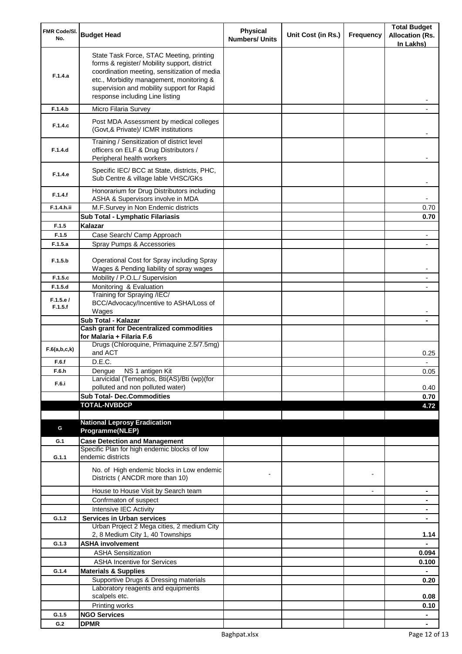| FMR Code/SI.<br>No. | <b>Budget Head</b>                                                                                                                                                                                                                                                    | Physical<br><b>Numbers/ Units</b> | Unit Cost (in Rs.) | Frequency      | <b>Total Budget</b><br><b>Allocation (Rs.</b><br>In Lakhs) |
|---------------------|-----------------------------------------------------------------------------------------------------------------------------------------------------------------------------------------------------------------------------------------------------------------------|-----------------------------------|--------------------|----------------|------------------------------------------------------------|
| F.1.4.a             | State Task Force, STAC Meeting, printing<br>forms & register/ Mobility support, district<br>coordination meeting, sensitization of media<br>etc., Morbidity management, monitoring &<br>supervision and mobility support for Rapid<br>response including Line listing |                                   |                    |                |                                                            |
| F.1.4.b             | Micro Filaria Survey                                                                                                                                                                                                                                                  |                                   |                    |                |                                                            |
| F.1.4.c             | Post MDA Assessment by medical colleges<br>(Govt, & Private)/ ICMR institutions                                                                                                                                                                                       |                                   |                    |                |                                                            |
| F.1.4.d             | Training / Sensitization of district level<br>officers on ELF & Drug Distributors /<br>Peripheral health workers                                                                                                                                                      |                                   |                    |                |                                                            |
| F.1.4.e             | Specific IEC/ BCC at State, districts, PHC,<br>Sub Centre & village lable VHSC/GKs                                                                                                                                                                                    |                                   |                    |                |                                                            |
| F.1.4.f             | Honorarium for Drug Distributors including<br>ASHA & Supervisors involve in MDA                                                                                                                                                                                       |                                   |                    |                |                                                            |
| F.1.4.h.ii          | M.F.Survey in Non Endemic districts                                                                                                                                                                                                                                   |                                   |                    |                | 0.70                                                       |
|                     | Sub Total - Lymphatic Filariasis                                                                                                                                                                                                                                      |                                   |                    |                | 0.70                                                       |
| F.1.5<br>F.1.5      | Kalazar<br>Case Search/ Camp Approach                                                                                                                                                                                                                                 |                                   |                    |                |                                                            |
| F.1.5.a             | Spray Pumps & Accessories                                                                                                                                                                                                                                             |                                   |                    |                |                                                            |
| F.1.5.b             | Operational Cost for Spray including Spray                                                                                                                                                                                                                            |                                   |                    |                |                                                            |
| F.1.5.c             | Wages & Pending liability of spray wages                                                                                                                                                                                                                              |                                   |                    |                |                                                            |
| F.1.5.d             | Mobility / P.O.L./ Supervision<br>Monitoring & Evaluation                                                                                                                                                                                                             |                                   |                    |                |                                                            |
|                     | Training for Spraying /IEC/                                                                                                                                                                                                                                           |                                   |                    |                |                                                            |
| F.1.5.e/<br>F.1.5.f | BCC/Advocacy/Incentive to ASHA/Loss of                                                                                                                                                                                                                                |                                   |                    |                |                                                            |
|                     | Wages<br>Sub Total - Kalazar                                                                                                                                                                                                                                          |                                   |                    |                |                                                            |
|                     | <b>Cash grant for Decentralized commodities</b>                                                                                                                                                                                                                       |                                   |                    |                |                                                            |
|                     | for Malaria + Filaria F.6                                                                                                                                                                                                                                             |                                   |                    |                |                                                            |
| F.6(a,b,c,k)        | Drugs (Chloroquine, Primaquine 2.5/7.5mg)<br>and ACT                                                                                                                                                                                                                  |                                   |                    |                | 0.25                                                       |
| F.6.f               | D.E.C.                                                                                                                                                                                                                                                                |                                   |                    |                |                                                            |
| F.6.h<br>F.6.i      | Dengue NS 1 antigen Kit<br>Larvicidal (Temephos, Bti(AS)/Bti (wp)(for                                                                                                                                                                                                 |                                   |                    |                | 0.05                                                       |
|                     | polluted and non polluted water)                                                                                                                                                                                                                                      |                                   |                    |                | 0.40                                                       |
|                     | <b>Sub Total- Dec.Commodities</b>                                                                                                                                                                                                                                     |                                   |                    |                | 0.70                                                       |
|                     | <b>TOTAL-NVBDCP</b>                                                                                                                                                                                                                                                   |                                   |                    |                | 4.72                                                       |
|                     | <b>National Leprosy Eradication</b>                                                                                                                                                                                                                                   |                                   |                    |                |                                                            |
| G                   | Programme(NLEP)                                                                                                                                                                                                                                                       |                                   |                    |                |                                                            |
| G.1                 | <b>Case Detection and Management</b>                                                                                                                                                                                                                                  |                                   |                    |                |                                                            |
|                     | Specific Plan for high endemic blocks of low                                                                                                                                                                                                                          |                                   |                    |                |                                                            |
| G.1.1               | endemic districts                                                                                                                                                                                                                                                     |                                   |                    |                |                                                            |
|                     | No. of High endemic blocks in Low endemic<br>Districts (ANCDR more than 10)                                                                                                                                                                                           |                                   |                    |                |                                                            |
|                     | House to House Visit by Search team                                                                                                                                                                                                                                   |                                   |                    | $\blacksquare$ | ۰                                                          |
|                     | Confrmaton of suspect                                                                                                                                                                                                                                                 |                                   |                    |                | ۰                                                          |
|                     | Intensive IEC Activity                                                                                                                                                                                                                                                |                                   |                    |                | ٠                                                          |
| G.1.2               | <b>Services in Urban services</b>                                                                                                                                                                                                                                     |                                   |                    |                | $\blacksquare$                                             |
|                     | Urban Project 2 Mega cities, 2 medium City<br>2, 8 Medium City 1, 40 Townships                                                                                                                                                                                        |                                   |                    |                | 1.14                                                       |
| G.1.3               | <b>ASHA involvement</b>                                                                                                                                                                                                                                               |                                   |                    |                |                                                            |
|                     | <b>ASHA Sensitization</b>                                                                                                                                                                                                                                             |                                   |                    |                | 0.094                                                      |
|                     | <b>ASHA Incentive for Services</b>                                                                                                                                                                                                                                    |                                   |                    |                | 0.100                                                      |
| G.1.4               | <b>Materials &amp; Supplies</b>                                                                                                                                                                                                                                       |                                   |                    |                |                                                            |
|                     | Supportive Drugs & Dressing materials                                                                                                                                                                                                                                 |                                   |                    |                | 0.20                                                       |
|                     | Laboratory reagents and equipments<br>scalpels etc.                                                                                                                                                                                                                   |                                   |                    |                | 0.08                                                       |
|                     | Printing works                                                                                                                                                                                                                                                        |                                   |                    |                | 0.10                                                       |
| G.1.5               | <b>NGO Services</b>                                                                                                                                                                                                                                                   |                                   |                    |                | $\blacksquare$                                             |
| G.2                 | <b>DPMR</b>                                                                                                                                                                                                                                                           |                                   |                    |                |                                                            |